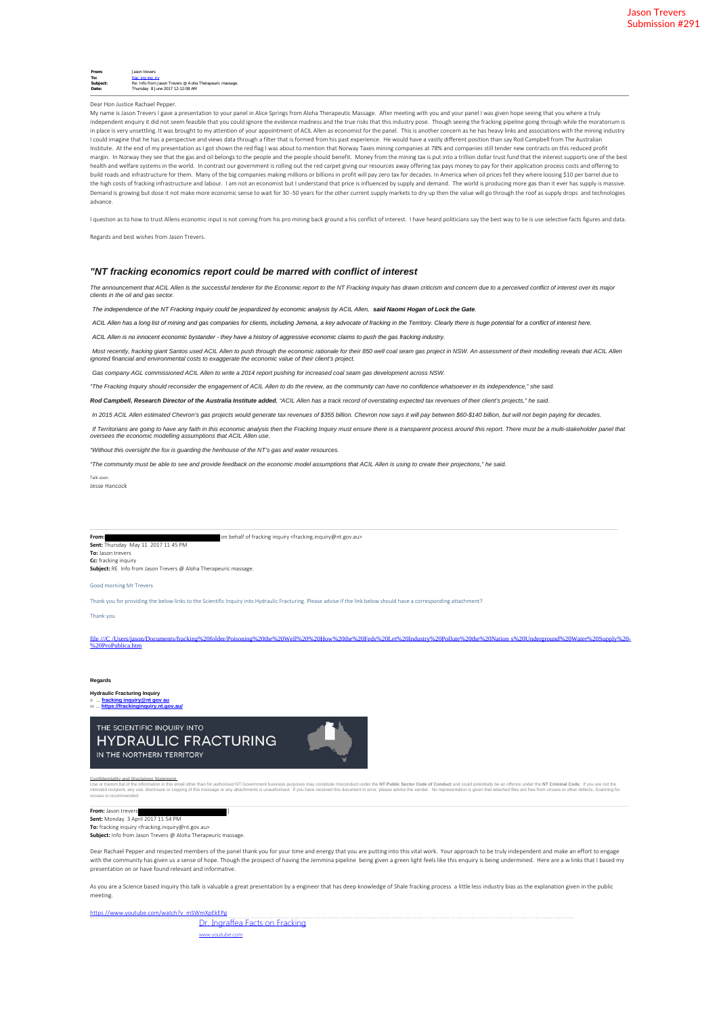| From:    | Jason trevers                                            |
|----------|----------------------------------------------------------|
| To:      | frac ing ing irv                                         |
| Subject: | Re: Info from Jason Trevers @ A oha Therapeuric massage. |
| Date:    | Thursday 8 June 2017 12:12:08 AM                         |

## Dear Hon Justice Rachael Pepper.

My name is Jason Trevers I gave a presentation to your panel in Alice Springs from Aloha Therapeutic Massage. After meeting with you and your panel I was given hope seeing that you where a truly independent enquiry it did not seem feasible that you could ignore the evidence madness and the true risks that this industry pose. Though seeing the fracking pipeline going through while the moratorium is in place is very unsettling. It was brought to my attention of your appointment of ACIL Allen as economist for the panel. This is another concern as he has heavy links and associations with the mining industry I could imagine that he has a perspective and views data through a filter that is formed from his past experience. He would have a vastly different position than say Rod Campbell from The Australian Institute. At the end of my presentation as I got shown the red flag I was about to mention that Norway Taxes mining companies at 78% and companies still tender new contracts on this reduced profit margin. In Norway they see that the gas and oil belongs to the people and the people should benefit. Money from the mining tax is put into a trillion dollar trust fund that the interest supports one of the best health and welfare systems in the world. In contrast our government is rolling out the red carpet giving our resources away offering tax pays money to pay for their application process costs and offering to build roads and infrastructure for them. Many of the big companies making millions or billions in profit will pay zero tax for decades. In America when oil prices fell they where loosing \$10 per barrel due to the high costs of fracking infrastructure and labour. I am not an economist but I understand that price is influenced by supply and demand. The world is producing more gas than it ever has supply is massive. on and is growing but dose it not make more economic sense to wait for 30 -50 years for the other current supply markets to dry up then the value will go through the roof as supply drops and technologies advance.

I question as to how to trust Allens economic input is not coming from his pro mining back ground a his conflict of interest. I have heard politicians say the best way to lie is use selective facts figures and data

Regards and best wishes from Jason Trevers.

### *"NT fracking economics report could be marred with conflict of interest*

*The announcement that ACIL Allen is the successful tenderer for the Economic report to the NT Fracking Inquiry has drawn criticism and concern due to a perceived conflict of interest over its major clients in the oil and gas sector.*

*The independence of the NT Fracking Inquiry could be jeopardized by economic analysis by ACIL Allen, said Naomi Hogan of Lock the Gate.*

*ACIL Allen has a long list of mining and gas companies for clients, including Jemena, a key advocate of fracking in the Territory. Clearly there is huge potential for a conflict of interest here.*

*ACIL Allen is no innocent economic bystander - they have a history of aggressive economic claims to push the gas fracking industry.*

Most recently, fracking giant Santos used ACIL Allen to push through the economic rationale for their 850 well coal seam gas project in NSW. An assessment of their modelling reveals that ACIL Allen<br>ignored financial and en

*Gas company AGL commissioned ACIL Allen to write a 2014 report pushing for increased coal seam gas development across NSW.*

*"The Fracking Inquiry should reconsider the engagement of ACIL Allen to do the review, as the community can have no confidence whatsoever in its independence," she said.*

*Rod Campbell, Research Director of the Australia Institute added, "ACIL Allen has a track record of overstating expected tax revenues of their client's projects," he said.*

*In 2015 ACIL Allen estimated Chevron's gas projects would generate tax revenues of \$355 billion. Chevron now says it will pay between \$60-\$140 billion, but will not begin paying for decades.*

If Territorians are going to have any faith in this economic analysis then the Fracking Inquiry must ensure there is a transparent process around this report. There must be a multi-stakeholder panel that<br>oversees the econo

*"Without this oversight the fox is guarding the henhouse of the NT's gas and water resources.*

*"The community must be able to see and provide feedback on the economic model assumptions that ACIL Allen is using to create their projections," he said.*

Talk soon Jesse Hancock

on behalf of fracking inquiry <fracking.inquiry@nt.gov.au> **From:**<br>**Sent:** Thursday May 11 2017 11 45 PM **To:** Jason trevers **C**: fracking inquiry

**Subject:** RE Info from Jason Trevers @ Aloha Therapeuric mas

# Good morning Mr Trevers

Thank you for providing the below links to the Scientific Inquiry into Hydraulic Fracturing. Please advise if the link below should have a corresponding attachment?

Thank you

file ///C /Users/jason/Documents/fracking%20folder/Poisoning%20the%20Well%20%20How%20the%20Feds%20Lodustry%20Pollute%20the%20Nation s%20Underground%20Water%20Supply%20-<br>%20ProPublica.htm

#### **Regards**

**Hydraulic Fracturing Inquiry**

**e ... fracking inquiry@nt gov au w ... https://frackinginquiry.nt.gov.au/**

THE SCIENTIFIC INQUIRY INTO **HYDRAULIC FRACTURING** IN THE NORTHERN TERRITORY



<u>Confidentiality and Disclaimer Statement,</u><br>Use or transmital the information intia email other than for authorised NT Government business purposes may constitute misconduct under the **NT Public Sector Code of Conduct** and viruses is recommended.

**From:** Jason trevers ] **Sent:** Monday 3 April 2017 11 54 PM **To:** fracking inquiry <fracking.inquiry@nt.gov.au>

**Subject:** Info from Jason Trevers @ Aloha Therapeuric massage

Dear Rachael Pepper and respected members of the panel thank you for your time and energy that you are putting into this vital work. Your approach to be truly independent and make an effort to engage with the community has given us a sense of hope. Though the prospect of having the Jemmina pipeline being given a green light feels like this enquiry is being undermined. Here are a w links that I based my presentation on or have found relevant and informative.

As you are a Science based inquiry this talk is valuable a great presentation by a engineer that has deep knowledge of Shale fracking process a little less industry bias as the explanation given in the public meeting.

https //www.youtube.com/watch?v mSWmXpEkEPg Dr. Ingraffea Facts on Fracking www.youtube.com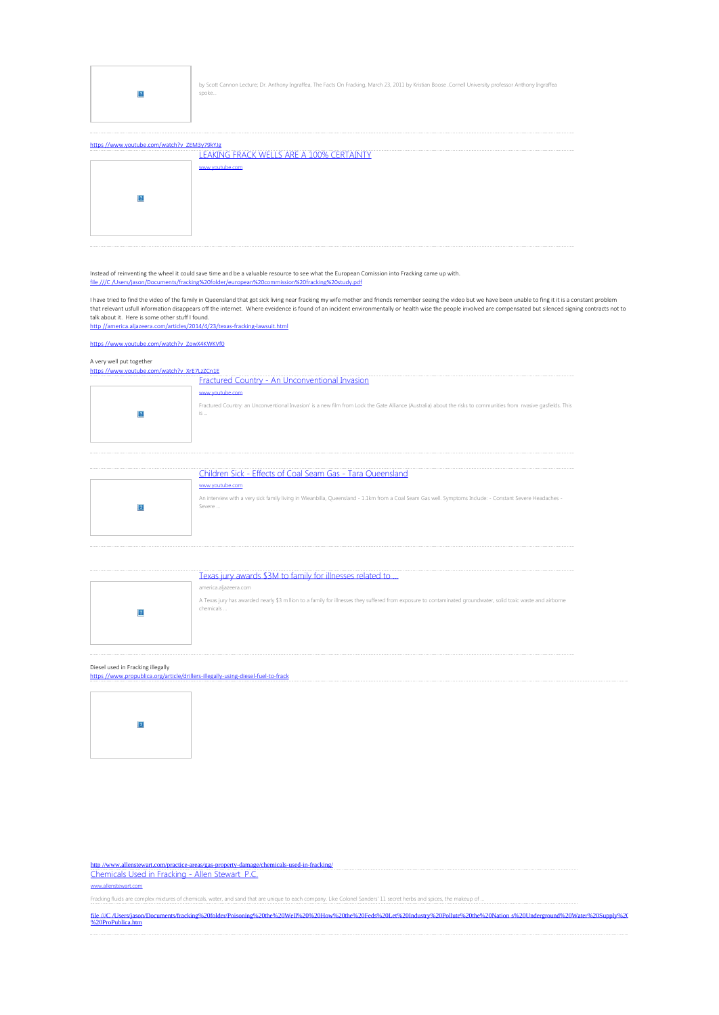

by Scott Cannon Lecture; Dr. Anthony Ingraffea, The Facts On Fracking, March 23, 2011 by Kristian Boose .Cornell University professor Anthony Ingraffea spoke...

| LEAKING FRACK WELLS ARE A 100% CERTAINTY |  |
|------------------------------------------|--|
| www.voutube.com                          |  |
|                                          |  |
|                                          |  |
|                                          |  |
|                                          |  |
|                                          |  |

### Instead of reinventing the wheel it could save time and be a valuable resource to see what the European Comission into Fracking came up with. file ///C /Users/jason/Documents/fracking%20folder/european%20commission%20fracking%20study.pdf

I have tried to find the video of the family in Queensland that got sick living near fracking my wife mother and friends remember seeing the video but we have been unable to fing it it is a constant problem<br>that relevant u talk about it. Here is some other stuff I found.<br><u>http //america.aljazeera.com/articles/2014/4/23/texas-frackin<mark>g-lawsuit.html</mark></u>

https //www.youtube.com/watch?v ZowX4KWKVf0

## A very well put together

| https //www.youtube.com/watch?v_XrE7LzZCn1E |                                                                                                                                                                        |  |  |
|---------------------------------------------|------------------------------------------------------------------------------------------------------------------------------------------------------------------------|--|--|
|                                             | Fractured Country - An Unconventional Invasion                                                                                                                         |  |  |
|                                             | www.voutube.com                                                                                                                                                        |  |  |
|                                             | Fractured Country: an Unconventional Invasion' is a new film from Lock the Gate Alliance (Australia) about the risks to communities from nvasive gasfields. This<br>is |  |  |
|                                             |                                                                                                                                                                        |  |  |
|                                             |                                                                                                                                                                        |  |  |

| Children Sick - Effects of Coal Seam Gas - Tara Queensland                                                                                                         |
|--------------------------------------------------------------------------------------------------------------------------------------------------------------------|
| www.voutube.com                                                                                                                                                    |
| An interview with a very sick family living in Wieanbilla, Queensland - 1.1km from a Coal Seam Gas well. Symptoms Include: - Constant Severe Headaches -<br>Severe |

| . | Texas jury awards \$3M to family for illnesses related to                                                                                                                  |
|---|----------------------------------------------------------------------------------------------------------------------------------------------------------------------------|
|   | america.aljazeera.com                                                                                                                                                      |
|   | A Texas jury has awarded nearly \$3 m llion to a family for illnesses they suffered from exposure to contaminated groundwater, solid toxic waste and airborne<br>chemicals |

## Diesel used in Fracking illegally

https //www.propublica.org/article/drillers-illegally-using-diesel-fuel-to-frack



http //www.allenstewart.com/practice-areas/gas-property-damage/chemicals-used-in-fracking/ Chemicals Used in Fracking - Allen Stewart P.C.

www.allenstewart.com

Fracking fluids are complex mixtures of chemicals, water, and sand that are unique to each company. Like Colonel Sanders' 11 secret herbs and spices, the makeup of ...

file ///C /Users/jason/Documents/fracking%20folder/Poisoning%20the%20Well%20%20How%20freds%20Let%20Industry%20Pollute%20he%20Nation s%20Underground%20Water%20Supply%20<br>%20ProPublica.htm